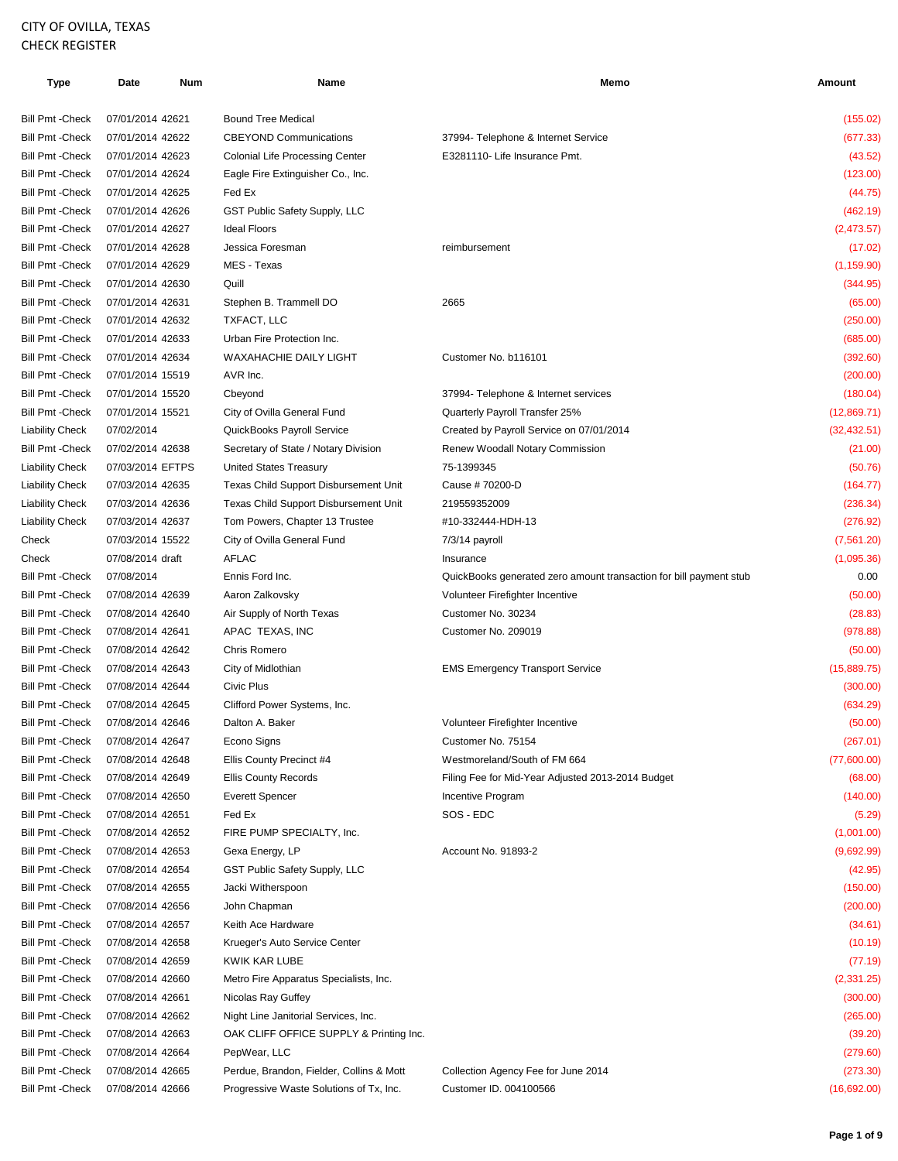## CITY OF OVILLA, TEXAS CHECK REGISTER

| Type                    | Date             | Num | Name                                     | Memo                                                               | Amount       |
|-------------------------|------------------|-----|------------------------------------------|--------------------------------------------------------------------|--------------|
| <b>Bill Pmt - Check</b> | 07/01/2014 42621 |     | <b>Bound Tree Medical</b>                |                                                                    | (155.02)     |
| <b>Bill Pmt - Check</b> | 07/01/2014 42622 |     | <b>CBEYOND Communications</b>            | 37994- Telephone & Internet Service                                | (677.33)     |
| <b>Bill Pmt - Check</b> | 07/01/2014 42623 |     | <b>Colonial Life Processing Center</b>   | E3281110- Life Insurance Pmt.                                      | (43.52)      |
| <b>Bill Pmt - Check</b> | 07/01/2014 42624 |     | Eagle Fire Extinguisher Co., Inc.        |                                                                    | (123.00)     |
| <b>Bill Pmt - Check</b> | 07/01/2014 42625 |     | Fed Ex                                   |                                                                    | (44.75)      |
| <b>Bill Pmt - Check</b> | 07/01/2014 42626 |     | GST Public Safety Supply, LLC            |                                                                    | (462.19)     |
| <b>Bill Pmt - Check</b> | 07/01/2014 42627 |     | <b>Ideal Floors</b>                      |                                                                    | (2,473.57)   |
| <b>Bill Pmt - Check</b> | 07/01/2014 42628 |     | Jessica Foresman                         | reimbursement                                                      | (17.02)      |
| <b>Bill Pmt - Check</b> | 07/01/2014 42629 |     | MES - Texas                              |                                                                    | (1, 159.90)  |
| <b>Bill Pmt - Check</b> | 07/01/2014 42630 |     | Quill                                    |                                                                    |              |
|                         |                  |     |                                          | 2665                                                               | (344.95)     |
| <b>Bill Pmt - Check</b> | 07/01/2014 42631 |     | Stephen B. Trammell DO                   |                                                                    | (65.00)      |
| <b>Bill Pmt - Check</b> | 07/01/2014 42632 |     | TXFACT, LLC                              |                                                                    | (250.00)     |
| <b>Bill Pmt - Check</b> | 07/01/2014 42633 |     | Urban Fire Protection Inc.               |                                                                    | (685.00)     |
| <b>Bill Pmt - Check</b> | 07/01/2014 42634 |     | <b>WAXAHACHIE DAILY LIGHT</b>            | Customer No. b116101                                               | (392.60)     |
| <b>Bill Pmt - Check</b> | 07/01/2014 15519 |     | AVR Inc.                                 |                                                                    | (200.00)     |
| <b>Bill Pmt - Check</b> | 07/01/2014 15520 |     | Cbeyond                                  | 37994- Telephone & Internet services                               | (180.04)     |
| <b>Bill Pmt - Check</b> | 07/01/2014 15521 |     | City of Ovilla General Fund              | Quarterly Payroll Transfer 25%                                     | (12,869.71)  |
| <b>Liability Check</b>  | 07/02/2014       |     | QuickBooks Payroll Service               | Created by Payroll Service on 07/01/2014                           | (32, 432.51) |
| <b>Bill Pmt - Check</b> | 07/02/2014 42638 |     | Secretary of State / Notary Division     | Renew Woodall Notary Commission                                    | (21.00)      |
| Liability Check         | 07/03/2014 EFTPS |     | United States Treasury                   | 75-1399345                                                         | (50.76)      |
| Liability Check         | 07/03/2014 42635 |     | Texas Child Support Disbursement Unit    | Cause # 70200-D                                                    | (164.77)     |
| <b>Liability Check</b>  | 07/03/2014 42636 |     | Texas Child Support Disbursement Unit    | 219559352009                                                       | (236.34)     |
| <b>Liability Check</b>  | 07/03/2014 42637 |     | Tom Powers, Chapter 13 Trustee           | #10-332444-HDH-13                                                  | (276.92)     |
| Check                   | 07/03/2014 15522 |     | City of Ovilla General Fund              | 7/3/14 payroll                                                     | (7,561.20)   |
| Check                   | 07/08/2014 draft |     | <b>AFLAC</b>                             | Insurance                                                          | (1,095.36)   |
| <b>Bill Pmt - Check</b> | 07/08/2014       |     | Ennis Ford Inc.                          | QuickBooks generated zero amount transaction for bill payment stub | 0.00         |
| <b>Bill Pmt - Check</b> | 07/08/2014 42639 |     | Aaron Zalkovsky                          | Volunteer Firefighter Incentive                                    | (50.00)      |
| <b>Bill Pmt - Check</b> | 07/08/2014 42640 |     | Air Supply of North Texas                | Customer No. 30234                                                 | (28.83)      |
| <b>Bill Pmt - Check</b> | 07/08/2014 42641 |     | APAC TEXAS, INC                          | Customer No. 209019                                                | (978.88)     |
| <b>Bill Pmt - Check</b> | 07/08/2014 42642 |     | Chris Romero                             |                                                                    | (50.00)      |
| Bill Pmt - Check        | 07/08/2014 42643 |     | City of Midlothian                       | <b>EMS Emergency Transport Service</b>                             | (15,889.75)  |
| Bill Pmt - Check        | 07/08/2014 42644 |     | Civic Plus                               |                                                                    | (300.00)     |
| Bill Pmt - Check        | 07/08/2014 42645 |     | Clifford Power Systems, Inc.             |                                                                    | (634.29)     |
| <b>Bill Pmt - Check</b> | 07/08/2014 42646 |     | Dalton A. Baker                          | Volunteer Firefighter Incentive                                    | (50.00)      |
| <b>Bill Pmt - Check</b> | 07/08/2014 42647 |     | Econo Signs                              | Customer No. 75154                                                 | (267.01)     |
| <b>Bill Pmt - Check</b> | 07/08/2014 42648 |     | Ellis County Precinct #4                 | Westmoreland/South of FM 664                                       | (77,600.00)  |
| <b>Bill Pmt - Check</b> | 07/08/2014 42649 |     | <b>Ellis County Records</b>              | Filing Fee for Mid-Year Adjusted 2013-2014 Budget                  | (68.00)      |
| <b>Bill Pmt - Check</b> | 07/08/2014 42650 |     | <b>Everett Spencer</b>                   | Incentive Program                                                  | (140.00)     |
| <b>Bill Pmt - Check</b> | 07/08/2014 42651 |     | Fed Ex                                   | SOS - EDC                                                          | (5.29)       |
| <b>Bill Pmt - Check</b> | 07/08/2014 42652 |     | FIRE PUMP SPECIALTY, Inc.                |                                                                    | (1,001.00)   |
| <b>Bill Pmt - Check</b> | 07/08/2014 42653 |     | Gexa Energy, LP                          | Account No. 91893-2                                                | (9,692.99)   |
| <b>Bill Pmt - Check</b> | 07/08/2014 42654 |     | GST Public Safety Supply, LLC            |                                                                    | (42.95)      |
| <b>Bill Pmt - Check</b> | 07/08/2014 42655 |     | Jacki Witherspoon                        |                                                                    | (150.00)     |
| <b>Bill Pmt - Check</b> | 07/08/2014 42656 |     | John Chapman                             |                                                                    | (200.00)     |
| Bill Pmt -Check         | 07/08/2014 42657 |     | Keith Ace Hardware                       |                                                                    | (34.61)      |
| <b>Bill Pmt - Check</b> | 07/08/2014 42658 |     | Krueger's Auto Service Center            |                                                                    | (10.19)      |
| <b>Bill Pmt - Check</b> | 07/08/2014 42659 |     | KWIK KAR LUBE                            |                                                                    | (77.19)      |
| <b>Bill Pmt - Check</b> | 07/08/2014 42660 |     | Metro Fire Apparatus Specialists, Inc.   |                                                                    | (2,331.25)   |
| <b>Bill Pmt - Check</b> | 07/08/2014 42661 |     | Nicolas Ray Guffey                       |                                                                    | (300.00)     |
| <b>Bill Pmt - Check</b> | 07/08/2014 42662 |     | Night Line Janitorial Services, Inc.     |                                                                    | (265.00)     |
| <b>Bill Pmt - Check</b> | 07/08/2014 42663 |     | OAK CLIFF OFFICE SUPPLY & Printing Inc.  |                                                                    | (39.20)      |
| <b>Bill Pmt - Check</b> | 07/08/2014 42664 |     | PepWear, LLC                             |                                                                    | (279.60)     |
| <b>Bill Pmt - Check</b> | 07/08/2014 42665 |     | Perdue, Brandon, Fielder, Collins & Mott | Collection Agency Fee for June 2014                                | (273.30)     |
| <b>Bill Pmt - Check</b> | 07/08/2014 42666 |     | Progressive Waste Solutions of Tx, Inc.  | Customer ID. 004100566                                             | (16,692.00)  |
|                         |                  |     |                                          |                                                                    |              |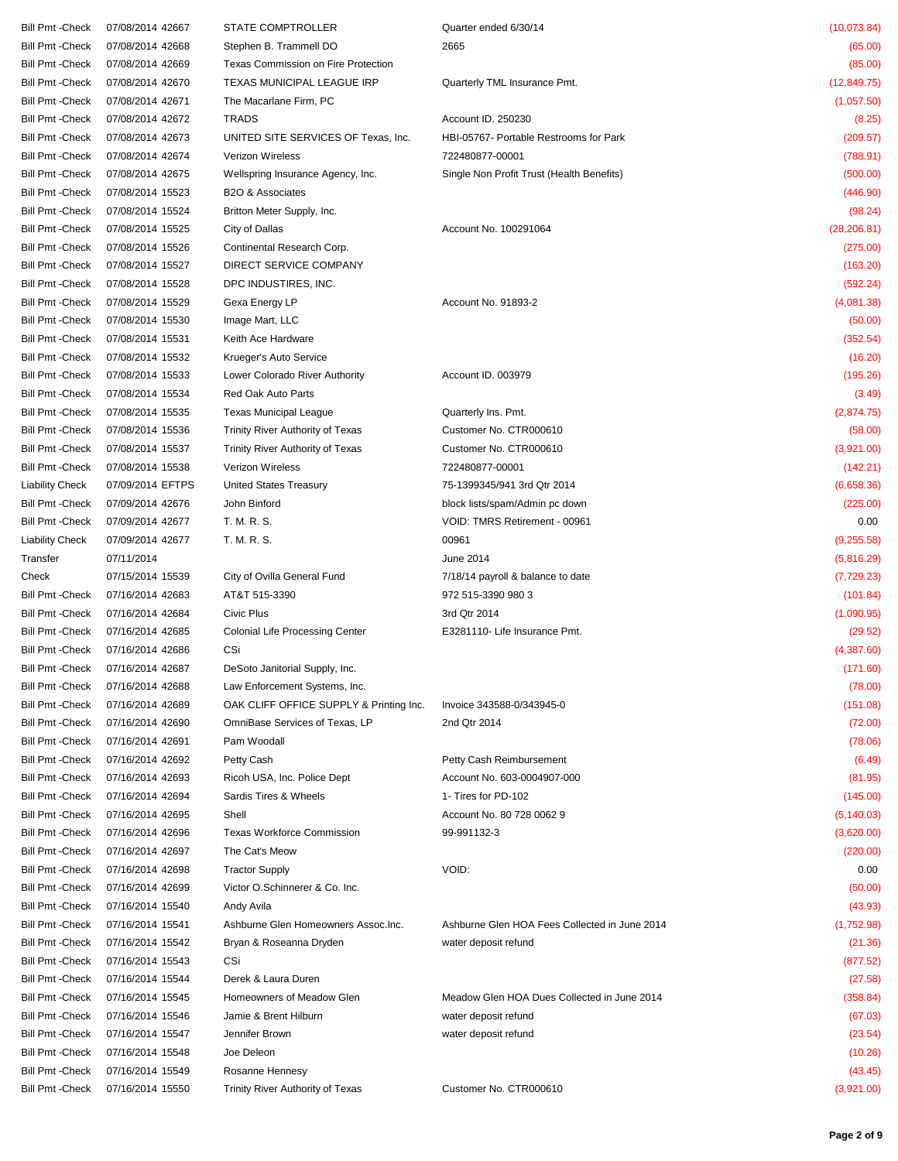| Bill Pmt -Check | 07/08/2014 42667 | <b>STATE COMPTROLLER</b>                | Quarter ended 6/30/14                         | (10,073.84)  |
|-----------------|------------------|-----------------------------------------|-----------------------------------------------|--------------|
| Bill Pmt -Check | 07/08/2014 42668 | Stephen B. Trammell DO                  | 2665                                          | (65.00)      |
| Bill Pmt -Check | 07/08/2014 42669 | Texas Commission on Fire Protection     |                                               | (85.00)      |
| Bill Pmt -Check | 07/08/2014 42670 | TEXAS MUNICIPAL LEAGUE IRP              | Quarterly TML Insurance Pmt.                  | (12, 849.75) |
| Bill Pmt -Check | 07/08/2014 42671 | The Macarlane Firm, PC                  |                                               | (1,057.50)   |
| Bill Pmt -Check | 07/08/2014 42672 | <b>TRADS</b>                            | Account ID. 250230                            | (8.25)       |
| Bill Pmt -Check | 07/08/2014 42673 | UNITED SITE SERVICES OF Texas, Inc.     | HBI-05767- Portable Restrooms for Park        | (209.57)     |
|                 |                  |                                         |                                               |              |
| Bill Pmt -Check | 07/08/2014 42674 | <b>Verizon Wireless</b>                 | 722480877-00001                               | (788.91)     |
| Bill Pmt -Check | 07/08/2014 42675 | Wellspring Insurance Agency, Inc.       | Single Non Profit Trust (Health Benefits)     | (500.00)     |
| Bill Pmt -Check | 07/08/2014 15523 | B <sub>2</sub> O & Associates           |                                               | (446.90)     |
| Bill Pmt -Check | 07/08/2014 15524 | Britton Meter Supply, Inc.              |                                               | (98.24)      |
| Bill Pmt -Check | 07/08/2014 15525 | City of Dallas                          | Account No. 100291064                         | (28, 206.81) |
| Bill Pmt -Check | 07/08/2014 15526 | Continental Research Corp.              |                                               | (275.00)     |
| Bill Pmt -Check | 07/08/2014 15527 | DIRECT SERVICE COMPANY                  |                                               | (163.20)     |
| Bill Pmt -Check | 07/08/2014 15528 | DPC INDUSTIRES, INC.                    |                                               | (592.24)     |
| Bill Pmt -Check | 07/08/2014 15529 | Gexa Energy LP                          | Account No. 91893-2                           | (4,081.38)   |
| Bill Pmt -Check | 07/08/2014 15530 | Image Mart, LLC                         |                                               | (50.00)      |
| Bill Pmt -Check | 07/08/2014 15531 | Keith Ace Hardware                      |                                               | (352.54)     |
| Bill Pmt -Check | 07/08/2014 15532 | Krueger's Auto Service                  |                                               | (16.20)      |
| Bill Pmt -Check | 07/08/2014 15533 | Lower Colorado River Authority          | Account ID. 003979                            | (195.26)     |
| Bill Pmt -Check | 07/08/2014 15534 | Red Oak Auto Parts                      |                                               | (3.49)       |
|                 |                  |                                         |                                               |              |
| Bill Pmt -Check | 07/08/2014 15535 | <b>Texas Municipal League</b>           | Quarterly Ins. Pmt.                           | (2,874.75)   |
| Bill Pmt -Check | 07/08/2014 15536 | Trinity River Authority of Texas        | Customer No. CTR000610                        | (58.00)      |
| Bill Pmt -Check | 07/08/2014 15537 | Trinity River Authority of Texas        | Customer No. CTR000610                        | (3,921.00)   |
| Bill Pmt -Check | 07/08/2014 15538 | Verizon Wireless                        | 722480877-00001                               | (142.21)     |
| Liability Check | 07/09/2014 EFTPS | <b>United States Treasury</b>           | 75-1399345/941 3rd Qtr 2014                   | (6,658.36)   |
| Bill Pmt -Check | 07/09/2014 42676 | John Binford                            | block lists/spam/Admin pc down                | (225.00)     |
| Bill Pmt -Check | 07/09/2014 42677 | T. M. R. S.                             | VOID: TMRS Retirement - 00961                 | 0.00         |
| Liability Check | 07/09/2014 42677 | T. M. R. S.                             | 00961                                         | (9,255.58)   |
| Transfer        | 07/11/2014       |                                         | June 2014                                     | (5,816.29)   |
| Check           | 07/15/2014 15539 | City of Ovilla General Fund             | 7/18/14 payroll & balance to date             | (7, 729.23)  |
| Bill Pmt -Check | 07/16/2014 42683 | AT&T 515-3390                           | 972 515-3390 980 3                            | (101.84)     |
| Bill Pmt -Check | 07/16/2014 42684 | Civic Plus                              | 3rd Qtr 2014                                  | (1,090.95)   |
| Bill Pmt -Check | 07/16/2014 42685 | <b>Colonial Life Processing Center</b>  | E3281110- Life Insurance Pmt.                 | (29.52)      |
| Bill Pmt -Check | 07/16/2014 42686 | CSi                                     |                                               | (4,387.60)   |
| Bill Pmt -Check | 07/16/2014 42687 | DeSoto Janitorial Supply, Inc.          |                                               | (171.60)     |
|                 |                  |                                         |                                               |              |
| Bill Pmt -Check | 07/16/2014 42688 | Law Enforcement Systems, Inc.           |                                               | (78.00)      |
| Bill Pmt -Check | 07/16/2014 42689 | OAK CLIFF OFFICE SUPPLY & Printing Inc. | Invoice 343588-0/343945-0                     | (151.08)     |
| Bill Pmt -Check | 07/16/2014 42690 | OmniBase Services of Texas, LP          | 2nd Qtr 2014                                  | (72.00)      |
| Bill Pmt -Check | 07/16/2014 42691 | Pam Woodall                             |                                               | (78.06)      |
| Bill Pmt -Check | 07/16/2014 42692 | Petty Cash                              | Petty Cash Reimbursement                      | (6.49)       |
| Bill Pmt -Check | 07/16/2014 42693 | Ricoh USA, Inc. Police Dept             | Account No. 603-0004907-000                   | (81.95)      |
| Bill Pmt -Check | 07/16/2014 42694 | Sardis Tires & Wheels                   | 1- Tires for PD-102                           | (145.00)     |
| Bill Pmt -Check | 07/16/2014 42695 | Shell                                   | Account No. 80 728 0062 9                     | (5, 140.03)  |
| Bill Pmt -Check | 07/16/2014 42696 | <b>Texas Workforce Commission</b>       | 99-991132-3                                   | (3,620.00)   |
| Bill Pmt -Check | 07/16/2014 42697 | The Cat's Meow                          |                                               | (220.00)     |
| Bill Pmt -Check | 07/16/2014 42698 | <b>Tractor Supply</b>                   | VOID:                                         | 0.00         |
| Bill Pmt -Check | 07/16/2014 42699 | Victor O.Schinnerer & Co. Inc.          |                                               | (50.00)      |
| Bill Pmt -Check | 07/16/2014 15540 | Andy Avila                              |                                               | (43.93)      |
| Bill Pmt -Check | 07/16/2014 15541 | Ashburne Glen Homeowners Assoc.Inc.     | Ashburne Glen HOA Fees Collected in June 2014 | (1,752.98)   |
|                 |                  |                                         |                                               |              |
| Bill Pmt -Check | 07/16/2014 15542 | Bryan & Roseanna Dryden                 | water deposit refund                          | (21.36)      |
| Bill Pmt -Check | 07/16/2014 15543 | CSi                                     |                                               | (877.52)     |
| Bill Pmt -Check | 07/16/2014 15544 | Derek & Laura Duren                     |                                               | (27.58)      |
| Bill Pmt -Check | 07/16/2014 15545 | Homeowners of Meadow Glen               | Meadow Glen HOA Dues Collected in June 2014   | (358.84)     |
| Bill Pmt -Check | 07/16/2014 15546 | Jamie & Brent Hilburn                   | water deposit refund                          | (67.03)      |
| Bill Pmt -Check | 07/16/2014 15547 | Jennifer Brown                          | water deposit refund                          | (23.54)      |
| Bill Pmt -Check | 07/16/2014 15548 | Joe Deleon                              |                                               | (10.26)      |
| Bill Pmt -Check | 07/16/2014 15549 | Rosanne Hennesy                         |                                               | (43.45)      |
| Bill Pmt -Check | 07/16/2014 15550 | Trinity River Authority of Texas        | Customer No. CTR000610                        | (3,921.00)   |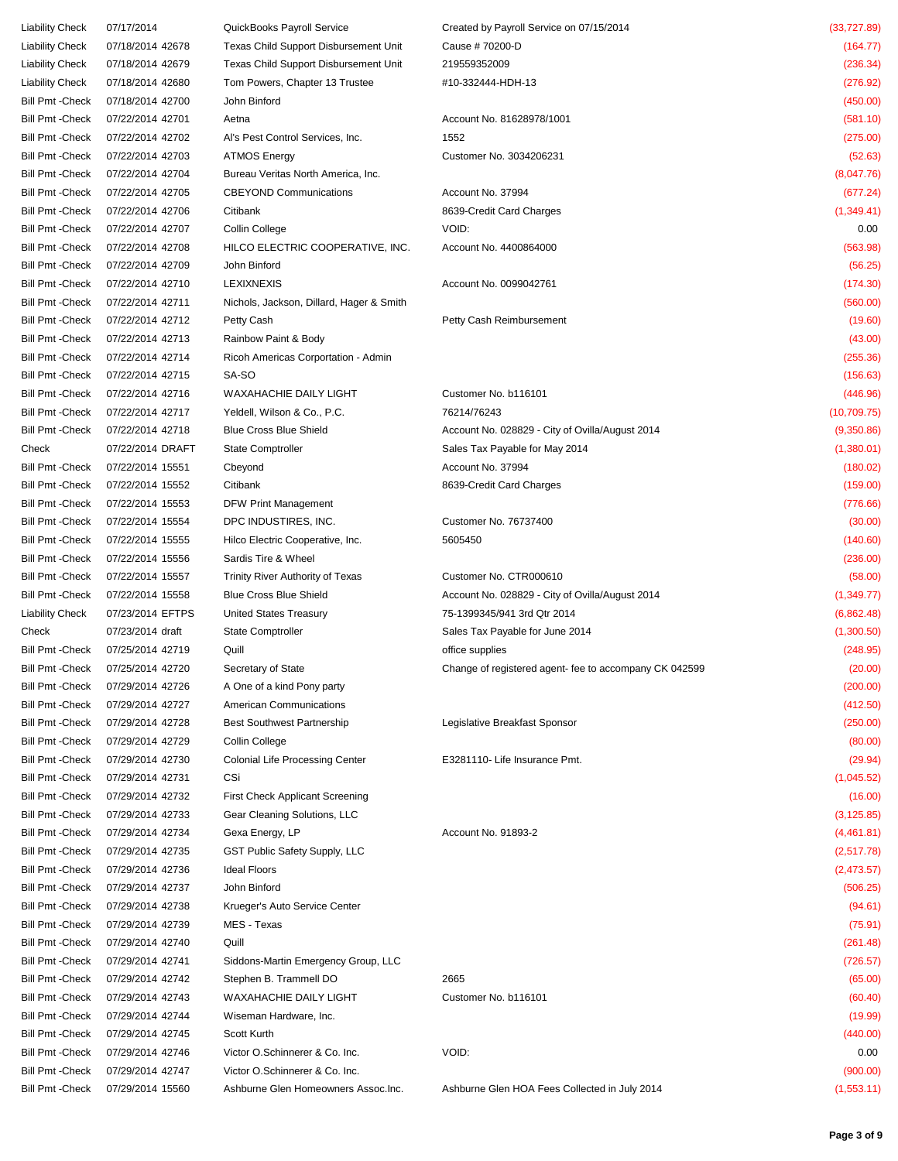| Liability Check         | 07/17/2014       | QuickBooks Payroll Service               | Created by Payroll Service on 07/15/2014               | (33, 727.89) |
|-------------------------|------------------|------------------------------------------|--------------------------------------------------------|--------------|
| Liability Check         | 07/18/2014 42678 | Texas Child Support Disbursement Unit    | Cause # 70200-D                                        | (164.77)     |
| <b>Liability Check</b>  | 07/18/2014 42679 | Texas Child Support Disbursement Unit    | 219559352009                                           | (236.34)     |
| Liability Check         | 07/18/2014 42680 | Tom Powers, Chapter 13 Trustee           | #10-332444-HDH-13                                      | (276.92)     |
| Bill Pmt -Check         | 07/18/2014 42700 | John Binford                             |                                                        | (450.00)     |
| Bill Pmt -Check         | 07/22/2014 42701 | Aetna                                    | Account No. 81628978/1001                              | (581.10)     |
| Bill Pmt -Check         | 07/22/2014 42702 | Al's Pest Control Services, Inc.         | 1552                                                   | (275.00)     |
| Bill Pmt -Check         | 07/22/2014 42703 | <b>ATMOS Energy</b>                      | Customer No. 3034206231                                | (52.63)      |
| Bill Pmt -Check         | 07/22/2014 42704 | Bureau Veritas North America, Inc.       |                                                        | (8,047.76)   |
| Bill Pmt -Check         | 07/22/2014 42705 | <b>CBEYOND Communications</b>            | Account No. 37994                                      | (677.24)     |
| Bill Pmt -Check         | 07/22/2014 42706 | Citibank                                 | 8639-Credit Card Charges                               | (1,349.41)   |
|                         |                  |                                          | VOID:                                                  |              |
| Bill Pmt -Check         | 07/22/2014 42707 | Collin College                           |                                                        | 0.00         |
| Bill Pmt -Check         | 07/22/2014 42708 | HILCO ELECTRIC COOPERATIVE, INC.         | Account No. 4400864000                                 | (563.98)     |
| Bill Pmt -Check         | 07/22/2014 42709 | John Binford                             |                                                        | (56.25)      |
| Bill Pmt -Check         | 07/22/2014 42710 | <b>LEXIXNEXIS</b>                        | Account No. 0099042761                                 | (174.30)     |
| Bill Pmt -Check         | 07/22/2014 42711 | Nichols, Jackson, Dillard, Hager & Smith |                                                        | (560.00)     |
| Bill Pmt -Check         | 07/22/2014 42712 | Petty Cash                               | Petty Cash Reimbursement                               | (19.60)      |
| Bill Pmt -Check         | 07/22/2014 42713 | Rainbow Paint & Body                     |                                                        | (43.00)      |
| Bill Pmt -Check         | 07/22/2014 42714 | Ricoh Americas Corportation - Admin      |                                                        | (255.36)     |
| Bill Pmt -Check         | 07/22/2014 42715 | SA-SO                                    |                                                        | (156.63)     |
| Bill Pmt -Check         | 07/22/2014 42716 | WAXAHACHIE DAILY LIGHT                   | Customer No. b116101                                   | (446.96)     |
| Bill Pmt -Check         | 07/22/2014 42717 | Yeldell, Wilson & Co., P.C.              | 76214/76243                                            | (10, 709.75) |
| Bill Pmt -Check         | 07/22/2014 42718 | <b>Blue Cross Blue Shield</b>            | Account No. 028829 - City of Ovilla/August 2014        | (9,350.86)   |
| Check                   | 07/22/2014 DRAFT | State Comptroller                        | Sales Tax Payable for May 2014                         | (1,380.01)   |
| Bill Pmt -Check         | 07/22/2014 15551 | Cbeyond                                  | Account No. 37994                                      | (180.02)     |
| Bill Pmt -Check         | 07/22/2014 15552 | Citibank                                 | 8639-Credit Card Charges                               | (159.00)     |
| Bill Pmt -Check         | 07/22/2014 15553 | <b>DFW Print Management</b>              |                                                        | (776.66)     |
| Bill Pmt -Check         | 07/22/2014 15554 | DPC INDUSTIRES, INC.                     | Customer No. 76737400                                  | (30.00)      |
| Bill Pmt -Check         | 07/22/2014 15555 | Hilco Electric Cooperative, Inc.         | 5605450                                                | (140.60)     |
| Bill Pmt -Check         | 07/22/2014 15556 | Sardis Tire & Wheel                      |                                                        | (236.00)     |
| Bill Pmt -Check         | 07/22/2014 15557 | Trinity River Authority of Texas         | Customer No. CTR000610                                 | (58.00)      |
| Bill Pmt -Check         | 07/22/2014 15558 | <b>Blue Cross Blue Shield</b>            | Account No. 028829 - City of Ovilla/August 2014        | (1, 349.77)  |
| Liability Check         | 07/23/2014 EFTPS | United States Treasury                   | 75-1399345/941 3rd Qtr 2014                            | (6,862.48)   |
| Check                   | 07/23/2014 draft |                                          | Sales Tax Payable for June 2014                        | (1,300.50)   |
|                         |                  | <b>State Comptroller</b>                 |                                                        |              |
| Bill Pmt -Check         | 07/25/2014 42719 | Quill                                    | office supplies                                        | (248.95)     |
| Bill Pmt -Check         | 07/25/2014 42720 | Secretary of State                       | Change of registered agent- fee to accompany CK 042599 | (20.00)      |
| <b>Bill Pmt - Check</b> | 07/29/2014 42726 | A One of a kind Pony party               |                                                        | (200.00)     |
| Bill Pmt -Check         | 07/29/2014 42727 | American Communications                  |                                                        | (412.50)     |
| Bill Pmt -Check         | 07/29/2014 42728 | <b>Best Southwest Partnership</b>        | Legislative Breakfast Sponsor                          | (250.00)     |
| Bill Pmt -Check         | 07/29/2014 42729 | Collin College                           |                                                        | (80.00)      |
| Bill Pmt -Check         | 07/29/2014 42730 | <b>Colonial Life Processing Center</b>   | E3281110- Life Insurance Pmt.                          | (29.94)      |
| Bill Pmt -Check         | 07/29/2014 42731 | CSi                                      |                                                        | (1,045.52)   |
| Bill Pmt -Check         | 07/29/2014 42732 | <b>First Check Applicant Screening</b>   |                                                        | (16.00)      |
| Bill Pmt -Check         | 07/29/2014 42733 | Gear Cleaning Solutions, LLC             |                                                        | (3, 125.85)  |
| Bill Pmt -Check         | 07/29/2014 42734 | Gexa Energy, LP                          | Account No. 91893-2                                    | (4,461.81)   |
| Bill Pmt -Check         | 07/29/2014 42735 | GST Public Safety Supply, LLC            |                                                        | (2,517.78)   |
| Bill Pmt -Check         | 07/29/2014 42736 | <b>Ideal Floors</b>                      |                                                        | (2,473.57)   |
| Bill Pmt -Check         | 07/29/2014 42737 | John Binford                             |                                                        | (506.25)     |
| Bill Pmt -Check         | 07/29/2014 42738 | Krueger's Auto Service Center            |                                                        | (94.61)      |
| Bill Pmt -Check         | 07/29/2014 42739 | MES - Texas                              |                                                        | (75.91)      |
| Bill Pmt -Check         | 07/29/2014 42740 | Quill                                    |                                                        | (261.48)     |
| Bill Pmt -Check         | 07/29/2014 42741 | Siddons-Martin Emergency Group, LLC      |                                                        | (726.57)     |
| Bill Pmt -Check         | 07/29/2014 42742 | Stephen B. Trammell DO                   | 2665                                                   | (65.00)      |
| Bill Pmt -Check         | 07/29/2014 42743 | <b>WAXAHACHIE DAILY LIGHT</b>            | Customer No. b116101                                   | (60.40)      |
| Bill Pmt -Check         | 07/29/2014 42744 | Wiseman Hardware, Inc.                   |                                                        | (19.99)      |
| Bill Pmt -Check         | 07/29/2014 42745 | Scott Kurth                              |                                                        | (440.00)     |
| Bill Pmt -Check         | 07/29/2014 42746 | Victor O.Schinnerer & Co. Inc.           | VOID:                                                  | 0.00         |
| Bill Pmt -Check         | 07/29/2014 42747 | Victor O.Schinnerer & Co. Inc.           |                                                        | (900.00)     |
|                         |                  |                                          |                                                        |              |
| Bill Pmt -Check         | 07/29/2014 15560 | Ashburne Glen Homeowners Assoc.Inc.      | Ashburne Glen HOA Fees Collected in July 2014          | (1,553.11)   |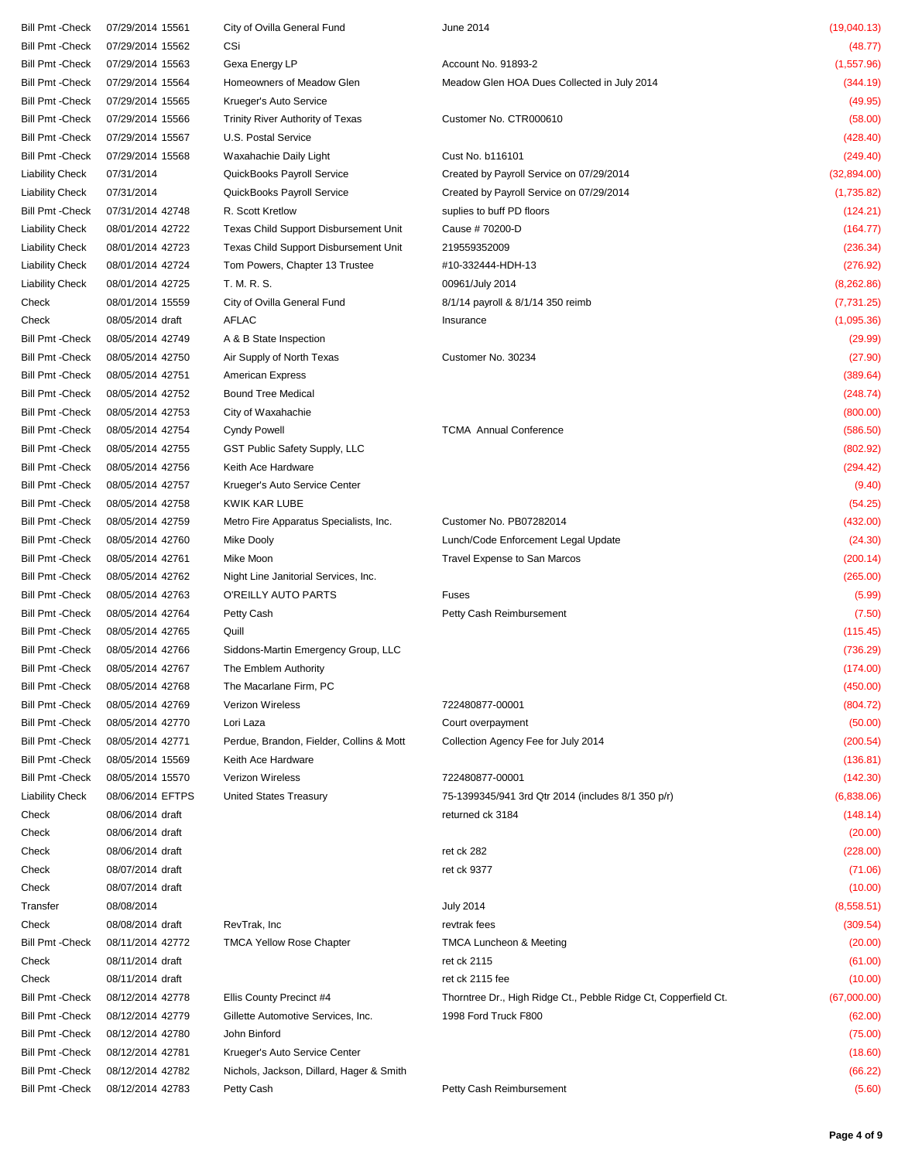| Bill Pmt -Check         | 07/29/2014 15561 | City of Ovilla General Fund                  | June 2014                                                       | (19,040.13) |
|-------------------------|------------------|----------------------------------------------|-----------------------------------------------------------------|-------------|
| <b>Bill Pmt - Check</b> | 07/29/2014 15562 | CSi                                          |                                                                 | (48.77)     |
| <b>Bill Pmt - Check</b> | 07/29/2014 15563 | Gexa Energy LP                               | Account No. 91893-2                                             | (1, 557.96) |
| <b>Bill Pmt - Check</b> | 07/29/2014 15564 | Homeowners of Meadow Glen                    | Meadow Glen HOA Dues Collected in July 2014                     | (344.19)    |
| <b>Bill Pmt - Check</b> | 07/29/2014 15565 | Krueger's Auto Service                       |                                                                 | (49.95)     |
| <b>Bill Pmt - Check</b> | 07/29/2014 15566 | Trinity River Authority of Texas             | Customer No. CTR000610                                          | (58.00)     |
| <b>Bill Pmt - Check</b> | 07/29/2014 15567 | U.S. Postal Service                          |                                                                 | (428.40)    |
| <b>Bill Pmt - Check</b> | 07/29/2014 15568 | Waxahachie Daily Light                       | Cust No. b116101                                                | (249.40)    |
| Liability Check         | 07/31/2014       | QuickBooks Payroll Service                   | Created by Payroll Service on 07/29/2014                        | (32,894.00) |
| <b>Liability Check</b>  | 07/31/2014       | QuickBooks Payroll Service                   | Created by Payroll Service on 07/29/2014                        | (1,735.82)  |
| <b>Bill Pmt - Check</b> | 07/31/2014 42748 | R. Scott Kretlow                             | suplies to buff PD floors                                       | (124.21)    |
| Liability Check         | 08/01/2014 42722 | Texas Child Support Disbursement Unit        | Cause #70200-D                                                  | (164.77)    |
| Liability Check         | 08/01/2014 42723 | <b>Texas Child Support Disbursement Unit</b> | 219559352009                                                    | (236.34)    |
| Liability Check         | 08/01/2014 42724 | Tom Powers, Chapter 13 Trustee               | #10-332444-HDH-13                                               | (276.92)    |
| Liability Check         | 08/01/2014 42725 | T. M. R. S.                                  | 00961/July 2014                                                 | (8,262.86)  |
| Check                   | 08/01/2014 15559 | City of Ovilla General Fund                  | 8/1/14 payroll & 8/1/14 350 reimb                               | (7,731.25)  |
| Check                   | 08/05/2014 draft | <b>AFLAC</b>                                 | Insurance                                                       | (1,095.36)  |
| <b>Bill Pmt - Check</b> | 08/05/2014 42749 | A & B State Inspection                       |                                                                 | (29.99)     |
| <b>Bill Pmt - Check</b> | 08/05/2014 42750 | Air Supply of North Texas                    | Customer No. 30234                                              | (27.90)     |
| <b>Bill Pmt - Check</b> | 08/05/2014 42751 | <b>American Express</b>                      |                                                                 | (389.64)    |
| <b>Bill Pmt - Check</b> | 08/05/2014 42752 | <b>Bound Tree Medical</b>                    |                                                                 | (248.74)    |
| <b>Bill Pmt - Check</b> | 08/05/2014 42753 | City of Waxahachie                           |                                                                 | (800.00)    |
| <b>Bill Pmt - Check</b> | 08/05/2014 42754 | <b>Cyndy Powell</b>                          | <b>TCMA</b> Annual Conference                                   | (586.50)    |
| <b>Bill Pmt - Check</b> | 08/05/2014 42755 | GST Public Safety Supply, LLC                |                                                                 | (802.92)    |
| <b>Bill Pmt - Check</b> | 08/05/2014 42756 | Keith Ace Hardware                           |                                                                 | (294.42)    |
| <b>Bill Pmt - Check</b> | 08/05/2014 42757 | Krueger's Auto Service Center                |                                                                 | (9.40)      |
| <b>Bill Pmt - Check</b> | 08/05/2014 42758 | KWIK KAR LUBE                                |                                                                 |             |
|                         |                  |                                              |                                                                 | (54.25)     |
| <b>Bill Pmt - Check</b> | 08/05/2014 42759 | Metro Fire Apparatus Specialists, Inc.       | Customer No. PB07282014                                         | (432.00)    |
| <b>Bill Pmt - Check</b> | 08/05/2014 42760 | Mike Dooly                                   | Lunch/Code Enforcement Legal Update                             | (24.30)     |
| <b>Bill Pmt - Check</b> | 08/05/2014 42761 | Mike Moon                                    | Travel Expense to San Marcos                                    | (200.14)    |
| <b>Bill Pmt - Check</b> | 08/05/2014 42762 | Night Line Janitorial Services, Inc.         |                                                                 | (265.00)    |
| <b>Bill Pmt - Check</b> | 08/05/2014 42763 | O'REILLY AUTO PARTS                          | Fuses                                                           | (5.99)      |
| <b>Bill Pmt - Check</b> | 08/05/2014 42764 | Petty Cash                                   | Petty Cash Reimbursement                                        | (7.50)      |
| <b>Bill Pmt - Check</b> | 08/05/2014 42765 | Quill                                        |                                                                 | (115.45)    |
| <b>Bill Pmt - Check</b> | 08/05/2014 42766 | Siddons-Martin Emergency Group, LLC          |                                                                 | (736.29)    |
| Bill Pmt -Check         | 08/05/2014 42767 | The Emblem Authority                         |                                                                 | (174.00)    |
| <b>Bill Pmt - Check</b> | 08/05/2014 42768 | The Macarlane Firm, PC                       |                                                                 | (450.00)    |
| <b>Bill Pmt - Check</b> | 08/05/2014 42769 | <b>Verizon Wireless</b>                      | 722480877-00001                                                 | (804.72)    |
| <b>Bill Pmt - Check</b> | 08/05/2014 42770 | Lori Laza                                    | Court overpayment                                               | (50.00)     |
| <b>Bill Pmt - Check</b> | 08/05/2014 42771 | Perdue, Brandon, Fielder, Collins & Mott     | Collection Agency Fee for July 2014                             | (200.54)    |
| <b>Bill Pmt - Check</b> | 08/05/2014 15569 | Keith Ace Hardware                           |                                                                 | (136.81)    |
| <b>Bill Pmt - Check</b> | 08/05/2014 15570 | Verizon Wireless                             | 722480877-00001                                                 | (142.30)    |
| <b>Liability Check</b>  | 08/06/2014 EFTPS | <b>United States Treasury</b>                | 75-1399345/941 3rd Qtr 2014 (includes 8/1 350 p/r)              | (6,838.06)  |
| Check                   | 08/06/2014 draft |                                              | returned ck 3184                                                | (148.14)    |
| Check                   | 08/06/2014 draft |                                              |                                                                 | (20.00)     |
| Check                   | 08/06/2014 draft |                                              | ret ck 282                                                      | (228.00)    |
| Check                   | 08/07/2014 draft |                                              | ret ck 9377                                                     | (71.06)     |
| Check                   | 08/07/2014 draft |                                              |                                                                 | (10.00)     |
| Transfer                | 08/08/2014       |                                              | <b>July 2014</b>                                                | (8,558.51)  |
| Check                   | 08/08/2014 draft | RevTrak, Inc                                 | revtrak fees                                                    | (309.54)    |
| <b>Bill Pmt - Check</b> | 08/11/2014 42772 | <b>TMCA Yellow Rose Chapter</b>              | <b>TMCA Luncheon &amp; Meeting</b>                              | (20.00)     |
| Check                   | 08/11/2014 draft |                                              | ret ck 2115                                                     | (61.00)     |
| Check                   | 08/11/2014 draft |                                              | ret ck 2115 fee                                                 | (10.00)     |
| <b>Bill Pmt - Check</b> | 08/12/2014 42778 | Ellis County Precinct #4                     | Thorntree Dr., High Ridge Ct., Pebble Ridge Ct, Copperfield Ct. | (67,000.00) |
| <b>Bill Pmt - Check</b> | 08/12/2014 42779 | Gillette Automotive Services, Inc.           | 1998 Ford Truck F800                                            | (62.00)     |
| <b>Bill Pmt - Check</b> | 08/12/2014 42780 | John Binford                                 |                                                                 | (75.00)     |
| <b>Bill Pmt - Check</b> | 08/12/2014 42781 | Krueger's Auto Service Center                |                                                                 | (18.60)     |
| <b>Bill Pmt - Check</b> | 08/12/2014 42782 | Nichols, Jackson, Dillard, Hager & Smith     |                                                                 | (66.22)     |
| <b>Bill Pmt - Check</b> | 08/12/2014 42783 | Petty Cash                                   | Petty Cash Reimbursement                                        | (5.60)      |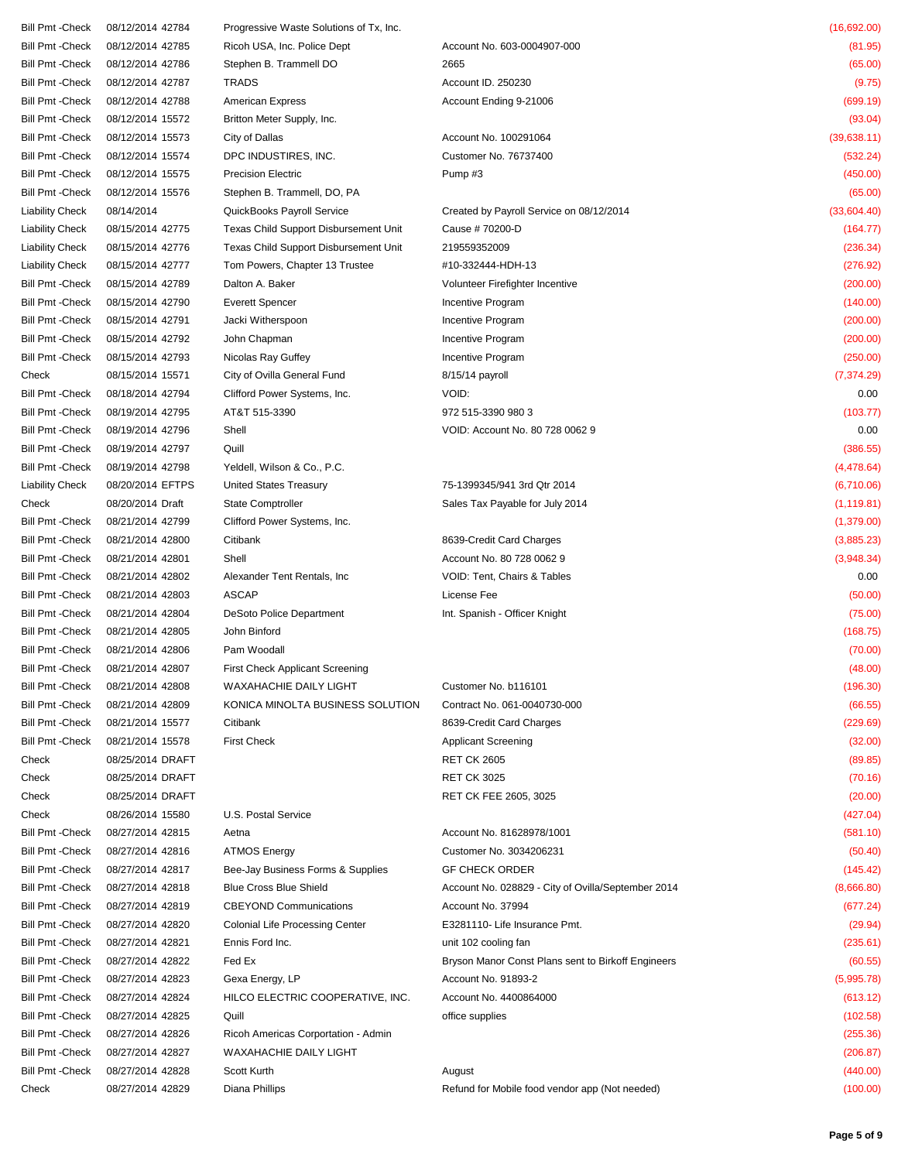| Bill Pmt -Check         | 08/12/2014 42784 | Progressive Waste Solutions of Tx, Inc. |                                                    | (16,692.00)  |
|-------------------------|------------------|-----------------------------------------|----------------------------------------------------|--------------|
| Bill Pmt -Check         | 08/12/2014 42785 | Ricoh USA, Inc. Police Dept             | Account No. 603-0004907-000                        | (81.95)      |
| Bill Pmt -Check         | 08/12/2014 42786 | Stephen B. Trammell DO                  | 2665                                               | (65.00)      |
| Bill Pmt -Check         | 08/12/2014 42787 | <b>TRADS</b>                            | Account ID. 250230                                 | (9.75)       |
| Bill Pmt -Check         | 08/12/2014 42788 | <b>American Express</b>                 | Account Ending 9-21006                             | (699.19)     |
| Bill Pmt -Check         | 08/12/2014 15572 | Britton Meter Supply, Inc.              |                                                    | (93.04)      |
| Bill Pmt -Check         | 08/12/2014 15573 | City of Dallas                          | Account No. 100291064                              | (39, 638.11) |
| Bill Pmt -Check         | 08/12/2014 15574 | DPC INDUSTIRES, INC.                    | Customer No. 76737400                              | (532.24)     |
| Bill Pmt -Check         | 08/12/2014 15575 | <b>Precision Electric</b>               | Pump#3                                             | (450.00)     |
| Bill Pmt -Check         | 08/12/2014 15576 | Stephen B. Trammell, DO, PA             |                                                    | (65.00)      |
| Liability Check         | 08/14/2014       | QuickBooks Payroll Service              | Created by Payroll Service on 08/12/2014           | (33,604.40)  |
| Liability Check         | 08/15/2014 42775 | Texas Child Support Disbursement Unit   | Cause # 70200-D                                    | (164.77)     |
|                         |                  |                                         |                                                    |              |
| Liability Check         | 08/15/2014 42776 | Texas Child Support Disbursement Unit   | 219559352009                                       | (236.34)     |
| <b>Liability Check</b>  | 08/15/2014 42777 | Tom Powers, Chapter 13 Trustee          | #10-332444-HDH-13                                  | (276.92)     |
| Bill Pmt -Check         | 08/15/2014 42789 | Dalton A. Baker                         | Volunteer Firefighter Incentive                    | (200.00)     |
| Bill Pmt -Check         | 08/15/2014 42790 | <b>Everett Spencer</b>                  | Incentive Program                                  | (140.00)     |
| Bill Pmt -Check         | 08/15/2014 42791 | Jacki Witherspoon                       | Incentive Program                                  | (200.00)     |
| Bill Pmt -Check         | 08/15/2014 42792 | John Chapman                            | Incentive Program                                  | (200.00)     |
| <b>Bill Pmt - Check</b> | 08/15/2014 42793 | Nicolas Ray Guffey                      | Incentive Program                                  | (250.00)     |
| Check                   | 08/15/2014 15571 | City of Ovilla General Fund             | 8/15/14 payroll                                    | (7, 374.29)  |
| Bill Pmt -Check         | 08/18/2014 42794 | Clifford Power Systems, Inc.            | VOID:                                              | 0.00         |
| Bill Pmt -Check         | 08/19/2014 42795 | AT&T 515-3390                           | 972 515-3390 980 3                                 | (103.77)     |
| Bill Pmt -Check         | 08/19/2014 42796 | Shell                                   | VOID: Account No. 80 728 0062 9                    | 0.00         |
| Bill Pmt -Check         | 08/19/2014 42797 | Quill                                   |                                                    | (386.55)     |
| Bill Pmt -Check         | 08/19/2014 42798 | Yeldell, Wilson & Co., P.C.             |                                                    | (4, 478.64)  |
| <b>Liability Check</b>  | 08/20/2014 EFTPS | United States Treasury                  | 75-1399345/941 3rd Qtr 2014                        | (6,710.06)   |
| Check                   | 08/20/2014 Draft | <b>State Comptroller</b>                | Sales Tax Payable for July 2014                    | (1, 119.81)  |
| Bill Pmt -Check         | 08/21/2014 42799 | Clifford Power Systems, Inc.            |                                                    | (1,379.00)   |
| Bill Pmt -Check         | 08/21/2014 42800 | Citibank                                | 8639-Credit Card Charges                           | (3,885.23)   |
| Bill Pmt -Check         | 08/21/2014 42801 | Shell                                   | Account No. 80 728 0062 9                          | (3,948.34)   |
| Bill Pmt -Check         | 08/21/2014 42802 | Alexander Tent Rentals, Inc.            | VOID: Tent, Chairs & Tables                        | 0.00         |
| Bill Pmt -Check         | 08/21/2014 42803 | <b>ASCAP</b>                            | License Fee                                        | (50.00)      |
| Bill Pmt -Check         | 08/21/2014 42804 | DeSoto Police Department                | Int. Spanish - Officer Knight                      | (75.00)      |
| Bill Pmt -Check         | 08/21/2014 42805 | John Binford                            |                                                    | (168.75)     |
| Bill Pmt -Check         | 08/21/2014 42806 | Pam Woodall                             |                                                    | (70.00)      |
|                         |                  |                                         |                                                    |              |
| Bill Pmt -Check         | 08/21/2014 42807 | <b>First Check Applicant Screening</b>  |                                                    | (48.00)      |
| Bill Pmt -Check         | 08/21/2014 42808 | WAXAHACHIE DAILY LIGHT                  | Customer No. b116101                               | (196.30)     |
| Bill Pmt -Check         | 08/21/2014 42809 | KONICA MINOLTA BUSINESS SOLUTION        | Contract No. 061-0040730-000                       | (66.55)      |
| Bill Pmt -Check         | 08/21/2014 15577 | Citibank                                | 8639-Credit Card Charges                           | (229.69)     |
| Bill Pmt -Check         | 08/21/2014 15578 | <b>First Check</b>                      | <b>Applicant Screening</b>                         | (32.00)      |
| Check                   | 08/25/2014 DRAFT |                                         | <b>RET CK 2605</b>                                 | (89.85)      |
| Check                   | 08/25/2014 DRAFT |                                         | <b>RET CK 3025</b>                                 | (70.16)      |
| Check                   | 08/25/2014 DRAFT |                                         | RET CK FEE 2605, 3025                              | (20.00)      |
| Check                   | 08/26/2014 15580 | U.S. Postal Service                     |                                                    | (427.04)     |
| Bill Pmt -Check         | 08/27/2014 42815 | Aetna                                   | Account No. 81628978/1001                          | (581.10)     |
| Bill Pmt -Check         | 08/27/2014 42816 | <b>ATMOS Energy</b>                     | Customer No. 3034206231                            | (50.40)      |
| Bill Pmt -Check         | 08/27/2014 42817 | Bee-Jay Business Forms & Supplies       | <b>GF CHECK ORDER</b>                              | (145.42)     |
| Bill Pmt -Check         | 08/27/2014 42818 | <b>Blue Cross Blue Shield</b>           | Account No. 028829 - City of Ovilla/September 2014 | (8,666.80)   |
| Bill Pmt -Check         | 08/27/2014 42819 | <b>CBEYOND Communications</b>           | Account No. 37994                                  | (677.24)     |
| Bill Pmt -Check         | 08/27/2014 42820 | <b>Colonial Life Processing Center</b>  | E3281110- Life Insurance Pmt.                      | (29.94)      |
| Bill Pmt -Check         | 08/27/2014 42821 | Ennis Ford Inc.                         | unit 102 cooling fan                               | (235.61)     |
| Bill Pmt -Check         | 08/27/2014 42822 | Fed Ex                                  | Bryson Manor Const Plans sent to Birkoff Engineers | (60.55)      |
| Bill Pmt -Check         | 08/27/2014 42823 | Gexa Energy, LP                         | Account No. 91893-2                                | (5,995.78)   |
| Bill Pmt -Check         | 08/27/2014 42824 | HILCO ELECTRIC COOPERATIVE, INC.        | Account No. 4400864000                             | (613.12)     |
| Bill Pmt -Check         | 08/27/2014 42825 | Quill                                   | office supplies                                    | (102.58)     |
| Bill Pmt -Check         | 08/27/2014 42826 | Ricoh Americas Corportation - Admin     |                                                    | (255.36)     |
| Bill Pmt -Check         | 08/27/2014 42827 | WAXAHACHIE DAILY LIGHT                  |                                                    | (206.87)     |
| Bill Pmt -Check         | 08/27/2014 42828 | Scott Kurth                             | August                                             | (440.00)     |
| Check                   | 08/27/2014 42829 | Diana Phillips                          | Refund for Mobile food vendor app (Not needed)     | (100.00)     |
|                         |                  |                                         |                                                    |              |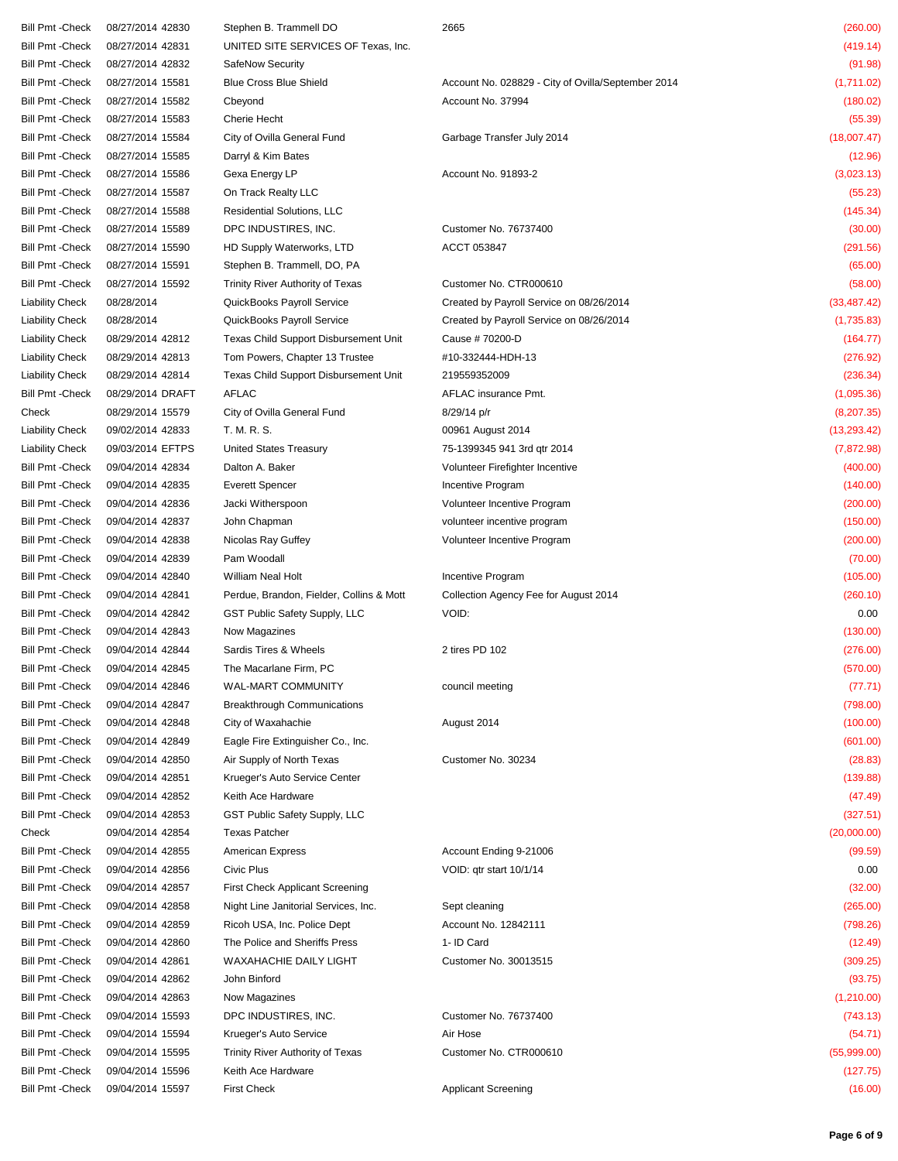| Bill Pmt -Check         | 08/27/2014 42830 | Stephen B. Trammell DO                   | 2665                                               | (260.00)     |
|-------------------------|------------------|------------------------------------------|----------------------------------------------------|--------------|
|                         |                  |                                          |                                                    |              |
| Bill Pmt -Check         | 08/27/2014 42831 | UNITED SITE SERVICES OF Texas, Inc.      |                                                    | (419.14)     |
| Bill Pmt -Check         | 08/27/2014 42832 | SafeNow Security                         |                                                    | (91.98)      |
| Bill Pmt -Check         | 08/27/2014 15581 | <b>Blue Cross Blue Shield</b>            | Account No. 028829 - City of Ovilla/September 2014 | (1,711.02)   |
| Bill Pmt -Check         | 08/27/2014 15582 | Cbeyond                                  | Account No. 37994                                  | (180.02)     |
| Bill Pmt -Check         | 08/27/2014 15583 | Cherie Hecht                             |                                                    | (55.39)      |
| Bill Pmt -Check         | 08/27/2014 15584 | City of Ovilla General Fund              | Garbage Transfer July 2014                         | (18,007.47)  |
| Bill Pmt -Check         | 08/27/2014 15585 | Darryl & Kim Bates                       |                                                    | (12.96)      |
| Bill Pmt -Check         | 08/27/2014 15586 | Gexa Energy LP                           | Account No. 91893-2                                | (3,023.13)   |
| Bill Pmt -Check         | 08/27/2014 15587 | On Track Realty LLC                      |                                                    | (55.23)      |
| Bill Pmt -Check         | 08/27/2014 15588 | <b>Residential Solutions, LLC</b>        |                                                    | (145.34)     |
| Bill Pmt -Check         | 08/27/2014 15589 | DPC INDUSTIRES, INC.                     | Customer No. 76737400                              | (30.00)      |
| Bill Pmt -Check         | 08/27/2014 15590 | HD Supply Waterworks, LTD                | ACCT 053847                                        | (291.56)     |
| Bill Pmt -Check         | 08/27/2014 15591 | Stephen B. Trammell, DO, PA              |                                                    | (65.00)      |
| Bill Pmt -Check         | 08/27/2014 15592 | Trinity River Authority of Texas         | Customer No. CTR000610                             | (58.00)      |
| <b>Liability Check</b>  | 08/28/2014       | QuickBooks Payroll Service               | Created by Payroll Service on 08/26/2014           | (33, 487.42) |
| <b>Liability Check</b>  | 08/28/2014       | QuickBooks Payroll Service               | Created by Payroll Service on 08/26/2014           | (1,735.83)   |
| <b>Liability Check</b>  | 08/29/2014 42812 | Texas Child Support Disbursement Unit    | Cause # 70200-D                                    | (164.77)     |
| <b>Liability Check</b>  | 08/29/2014 42813 | Tom Powers, Chapter 13 Trustee           | #10-332444-HDH-13                                  | (276.92)     |
| <b>Liability Check</b>  | 08/29/2014 42814 | Texas Child Support Disbursement Unit    | 219559352009                                       | (236.34)     |
| Bill Pmt -Check         | 08/29/2014 DRAFT | <b>AFLAC</b>                             | AFLAC insurance Pmt.                               | (1,095.36)   |
|                         |                  | City of Ovilla General Fund              | 8/29/14 p/r                                        |              |
| Check                   | 08/29/2014 15579 |                                          |                                                    | (8,207.35)   |
| <b>Liability Check</b>  | 09/02/2014 42833 | T. M. R. S.                              | 00961 August 2014                                  | (13, 293.42) |
| Liability Check         | 09/03/2014 EFTPS | United States Treasury                   | 75-1399345 941 3rd qtr 2014                        | (7,872.98)   |
| Bill Pmt -Check         | 09/04/2014 42834 | Dalton A. Baker                          | Volunteer Firefighter Incentive                    | (400.00)     |
| Bill Pmt -Check         | 09/04/2014 42835 | <b>Everett Spencer</b>                   | Incentive Program                                  | (140.00)     |
| Bill Pmt -Check         | 09/04/2014 42836 | Jacki Witherspoon                        | Volunteer Incentive Program                        | (200.00)     |
| Bill Pmt -Check         | 09/04/2014 42837 | John Chapman                             | volunteer incentive program                        | (150.00)     |
| Bill Pmt -Check         | 09/04/2014 42838 | Nicolas Ray Guffey                       | Volunteer Incentive Program                        | (200.00)     |
| Bill Pmt -Check         | 09/04/2014 42839 | Pam Woodall                              |                                                    | (70.00)      |
| Bill Pmt -Check         | 09/04/2014 42840 | William Neal Holt                        | Incentive Program                                  | (105.00)     |
| Bill Pmt -Check         | 09/04/2014 42841 | Perdue, Brandon, Fielder, Collins & Mott | Collection Agency Fee for August 2014              | (260.10)     |
| Bill Pmt -Check         | 09/04/2014 42842 | GST Public Safety Supply, LLC            | VOID:                                              | 0.00         |
| Bill Pmt -Check         | 09/04/2014 42843 | Now Magazines                            |                                                    | (130.00)     |
| Bill Pmt -Check         | 09/04/2014 42844 | Sardis Tires & Wheels                    | 2 tires PD 102                                     | (276.00)     |
| Bill Pmt -Check         | 09/04/2014 42845 | The Macarlane Firm, PC                   |                                                    | (570.00)     |
| <b>Bill Pmt - Check</b> | 09/04/2014 42846 | <b>WAL-MART COMMUNITY</b>                | council meeting                                    | (77.71)      |
| Bill Pmt -Check         | 09/04/2014 42847 | <b>Breakthrough Communications</b>       |                                                    | (798.00)     |
| Bill Pmt -Check         | 09/04/2014 42848 | City of Waxahachie                       | August 2014                                        | (100.00)     |
| Bill Pmt -Check         | 09/04/2014 42849 | Eagle Fire Extinguisher Co., Inc.        |                                                    | (601.00)     |
| Bill Pmt -Check         | 09/04/2014 42850 | Air Supply of North Texas                | Customer No. 30234                                 | (28.83)      |
| Bill Pmt -Check         | 09/04/2014 42851 | Krueger's Auto Service Center            |                                                    | (139.88)     |
| <b>Bill Pmt - Check</b> | 09/04/2014 42852 | Keith Ace Hardware                       |                                                    | (47.49)      |
|                         |                  |                                          |                                                    |              |
| Bill Pmt -Check         | 09/04/2014 42853 | GST Public Safety Supply, LLC            |                                                    | (327.51)     |
| Check                   | 09/04/2014 42854 | <b>Texas Patcher</b>                     |                                                    | (20,000.00)  |
| <b>Bill Pmt - Check</b> | 09/04/2014 42855 | <b>American Express</b>                  | Account Ending 9-21006                             | (99.59)      |
| Bill Pmt -Check         | 09/04/2014 42856 | Civic Plus                               | VOID: qtr start 10/1/14                            | 0.00         |
| Bill Pmt -Check         | 09/04/2014 42857 | <b>First Check Applicant Screening</b>   |                                                    | (32.00)      |
| Bill Pmt -Check         | 09/04/2014 42858 | Night Line Janitorial Services, Inc.     | Sept cleaning                                      | (265.00)     |
| Bill Pmt -Check         | 09/04/2014 42859 | Ricoh USA, Inc. Police Dept              | Account No. 12842111                               | (798.26)     |
| Bill Pmt -Check         | 09/04/2014 42860 | The Police and Sheriffs Press            | 1- ID Card                                         | (12.49)      |
| Bill Pmt -Check         | 09/04/2014 42861 | WAXAHACHIE DAILY LIGHT                   | Customer No. 30013515                              | (309.25)     |
| Bill Pmt -Check         | 09/04/2014 42862 | John Binford                             |                                                    | (93.75)      |
| Bill Pmt -Check         | 09/04/2014 42863 | Now Magazines                            |                                                    | (1, 210.00)  |
| Bill Pmt -Check         | 09/04/2014 15593 | DPC INDUSTIRES, INC.                     | Customer No. 76737400                              | (743.13)     |
| Bill Pmt -Check         | 09/04/2014 15594 | Krueger's Auto Service                   | Air Hose                                           | (54.71)      |
| Bill Pmt -Check         | 09/04/2014 15595 | Trinity River Authority of Texas         | Customer No. CTR000610                             | (55,999.00)  |
| Bill Pmt -Check         | 09/04/2014 15596 | Keith Ace Hardware                       |                                                    | (127.75)     |
| Bill Pmt -Check         | 09/04/2014 15597 | <b>First Check</b>                       | <b>Applicant Screening</b>                         | (16.00)      |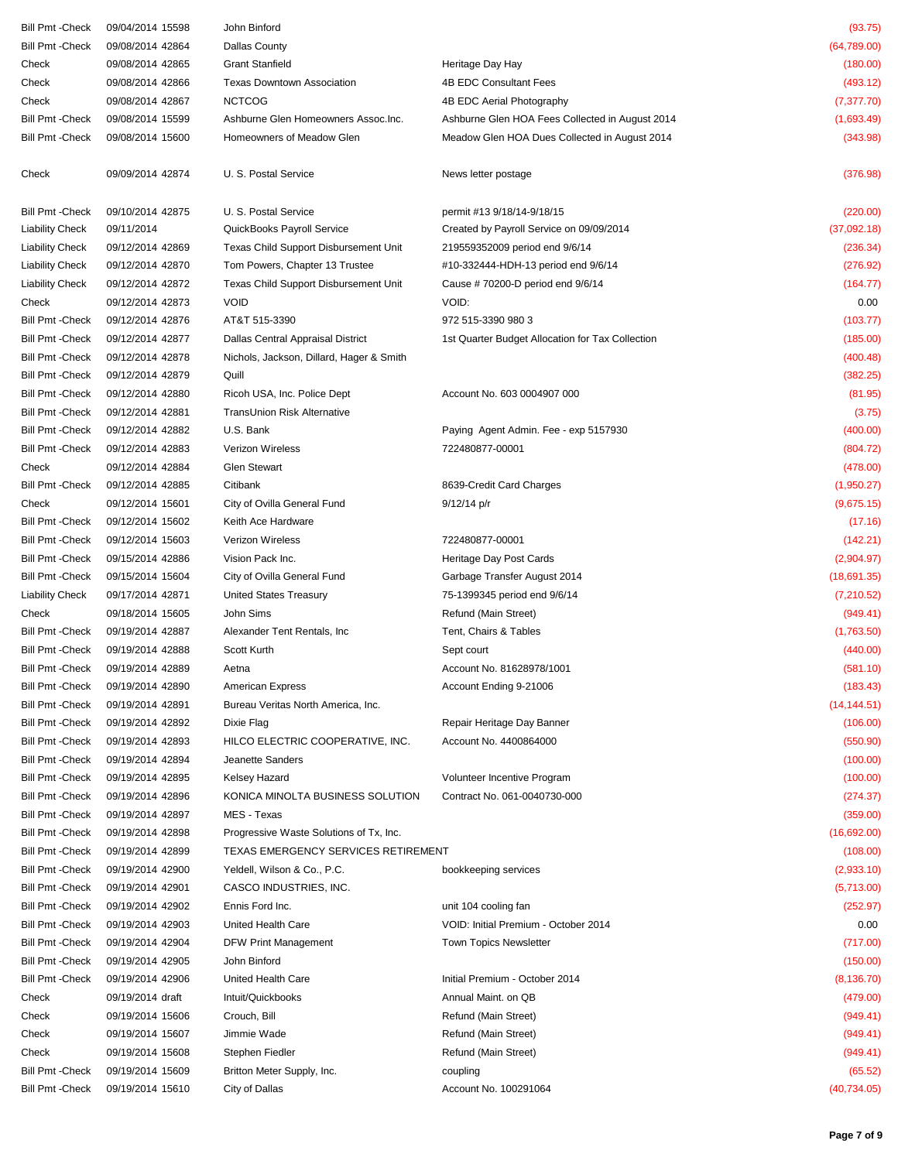| Bill Pmt -Check         | 09/04/2014 15598 | John Binford                             |                                                  | (93.75)      |
|-------------------------|------------------|------------------------------------------|--------------------------------------------------|--------------|
| Bill Pmt -Check         | 09/08/2014 42864 | <b>Dallas County</b>                     |                                                  | (64,789.00)  |
| Check                   | 09/08/2014 42865 | <b>Grant Stanfield</b>                   | Heritage Day Hay                                 | (180.00)     |
| Check                   | 09/08/2014 42866 | <b>Texas Downtown Association</b>        | 4B EDC Consultant Fees                           | (493.12)     |
| Check                   | 09/08/2014 42867 | <b>NCTCOG</b>                            | 4B EDC Aerial Photography                        | (7, 377.70)  |
| Bill Pmt -Check         | 09/08/2014 15599 | Ashburne Glen Homeowners Assoc. Inc.     | Ashburne Glen HOA Fees Collected in August 2014  | (1,693.49)   |
| Bill Pmt -Check         | 09/08/2014 15600 | Homeowners of Meadow Glen                | Meadow Glen HOA Dues Collected in August 2014    | (343.98)     |
| Check                   | 09/09/2014 42874 | U. S. Postal Service                     | News letter postage                              | (376.98)     |
| Bill Pmt -Check         | 09/10/2014 42875 | U. S. Postal Service                     | permit #13 9/18/14-9/18/15                       | (220.00)     |
| <b>Liability Check</b>  | 09/11/2014       | QuickBooks Payroll Service               | Created by Payroll Service on 09/09/2014         | (37,092.18)  |
| <b>Liability Check</b>  | 09/12/2014 42869 | Texas Child Support Disbursement Unit    | 219559352009 period end 9/6/14                   | (236.34)     |
| <b>Liability Check</b>  | 09/12/2014 42870 | Tom Powers, Chapter 13 Trustee           | #10-332444-HDH-13 period end 9/6/14              | (276.92)     |
| <b>Liability Check</b>  | 09/12/2014 42872 | Texas Child Support Disbursement Unit    | Cause # 70200-D period end 9/6/14                | (164.77)     |
| Check                   | 09/12/2014 42873 | <b>VOID</b>                              | VOID:                                            | 0.00         |
| Bill Pmt -Check         | 09/12/2014 42876 | AT&T 515-3390                            | 972 515-3390 980 3                               | (103.77)     |
| Bill Pmt -Check         | 09/12/2014 42877 | Dallas Central Appraisal District        | 1st Quarter Budget Allocation for Tax Collection | (185.00)     |
| Bill Pmt -Check         | 09/12/2014 42878 | Nichols, Jackson, Dillard, Hager & Smith |                                                  | (400.48)     |
| Bill Pmt -Check         | 09/12/2014 42879 | Quill                                    |                                                  | (382.25)     |
| Bill Pmt -Check         | 09/12/2014 42880 | Ricoh USA, Inc. Police Dept              | Account No. 603 0004907 000                      | (81.95)      |
| Bill Pmt -Check         | 09/12/2014 42881 | TransUnion Risk Alternative              |                                                  | (3.75)       |
| Bill Pmt -Check         | 09/12/2014 42882 | U.S. Bank                                | Paying Agent Admin. Fee - exp 5157930            | (400.00)     |
| <b>Bill Pmt - Check</b> | 09/12/2014 42883 | Verizon Wireless                         | 722480877-00001                                  | (804.72)     |
| Check                   | 09/12/2014 42884 | <b>Glen Stewart</b>                      |                                                  | (478.00)     |
| Bill Pmt -Check         | 09/12/2014 42885 | Citibank                                 | 8639-Credit Card Charges                         | (1,950.27)   |
| Check                   | 09/12/2014 15601 | City of Ovilla General Fund              | $9/12/14$ p/r                                    | (9,675.15)   |
| Bill Pmt -Check         | 09/12/2014 15602 | Keith Ace Hardware                       |                                                  | (17.16)      |
| Bill Pmt -Check         | 09/12/2014 15603 | Verizon Wireless                         | 722480877-00001                                  | (142.21)     |
| Bill Pmt -Check         | 09/15/2014 42886 | Vision Pack Inc.                         | Heritage Day Post Cards                          | (2,904.97)   |
| Bill Pmt -Check         | 09/15/2014 15604 | City of Ovilla General Fund              | Garbage Transfer August 2014                     | (18,691.35)  |
| <b>Liability Check</b>  | 09/17/2014 42871 | United States Treasury                   | 75-1399345 period end 9/6/14                     | (7,210.52)   |
| Check                   | 09/18/2014 15605 | John Sims                                | Refund (Main Street)                             | (949.41)     |
| Bill Pmt -Check         | 09/19/2014 42887 | Alexander Tent Rentals, Inc.             | Tent, Chairs & Tables                            | (1,763.50)   |
| Bill Pmt -Check         | 09/19/2014 42888 | Scott Kurth                              | Sept court                                       | (440.00)     |
| Bill Pmt -Check         | 09/19/2014 42889 | Aetna                                    | Account No. 81628978/1001                        | (581.10)     |
| <b>Bill Pmt - Check</b> | 09/19/2014 42890 | <b>American Express</b>                  | Account Ending 9-21006                           | (183.43)     |
| Bill Pmt -Check         | 09/19/2014 42891 | Bureau Veritas North America, Inc.       |                                                  | (14, 144.51) |
| Bill Pmt -Check         | 09/19/2014 42892 | Dixie Flag                               | Repair Heritage Day Banner                       | (106.00)     |
| Bill Pmt -Check         | 09/19/2014 42893 | HILCO ELECTRIC COOPERATIVE, INC.         | Account No. 4400864000                           | (550.90)     |
| Bill Pmt -Check         | 09/19/2014 42894 | Jeanette Sanders                         |                                                  | (100.00)     |
| Bill Pmt -Check         | 09/19/2014 42895 | Kelsey Hazard                            | Volunteer Incentive Program                      | (100.00)     |
| Bill Pmt -Check         | 09/19/2014 42896 | KONICA MINOLTA BUSINESS SOLUTION         | Contract No. 061-0040730-000                     | (274.37)     |
| Bill Pmt -Check         | 09/19/2014 42897 | MES - Texas                              |                                                  | (359.00)     |
| Bill Pmt -Check         | 09/19/2014 42898 | Progressive Waste Solutions of Tx, Inc.  |                                                  | (16,692.00)  |
| Bill Pmt -Check         | 09/19/2014 42899 | TEXAS EMERGENCY SERVICES RETIREMENT      |                                                  | (108.00)     |
| Bill Pmt -Check         | 09/19/2014 42900 | Yeldell, Wilson & Co., P.C.              | bookkeeping services                             | (2,933.10)   |
| Bill Pmt -Check         | 09/19/2014 42901 | CASCO INDUSTRIES, INC.                   |                                                  | (5,713.00)   |
| Bill Pmt -Check         | 09/19/2014 42902 | Ennis Ford Inc.                          | unit 104 cooling fan                             | (252.97)     |
| Bill Pmt -Check         | 09/19/2014 42903 | United Health Care                       | VOID: Initial Premium - October 2014             | 0.00         |
| Bill Pmt -Check         | 09/19/2014 42904 | DFW Print Management                     | <b>Town Topics Newsletter</b>                    | (717.00)     |
| Bill Pmt -Check         | 09/19/2014 42905 | John Binford                             |                                                  | (150.00)     |
| Bill Pmt -Check         | 09/19/2014 42906 | United Health Care                       | Initial Premium - October 2014                   | (8, 136.70)  |
| Check                   | 09/19/2014 draft | Intuit/Quickbooks                        | Annual Maint. on QB                              | (479.00)     |
| Check                   | 09/19/2014 15606 | Crouch, Bill                             | Refund (Main Street)                             | (949.41)     |
| Check                   | 09/19/2014 15607 | Jimmie Wade                              | Refund (Main Street)                             | (949.41)     |
| Check                   | 09/19/2014 15608 | Stephen Fiedler                          | Refund (Main Street)                             | (949.41)     |
| Bill Pmt -Check         | 09/19/2014 15609 | Britton Meter Supply, Inc.               | coupling                                         | (65.52)      |
| Bill Pmt -Check         | 09/19/2014 15610 | City of Dallas                           | Account No. 100291064                            | (40, 734.05) |
|                         |                  |                                          |                                                  |              |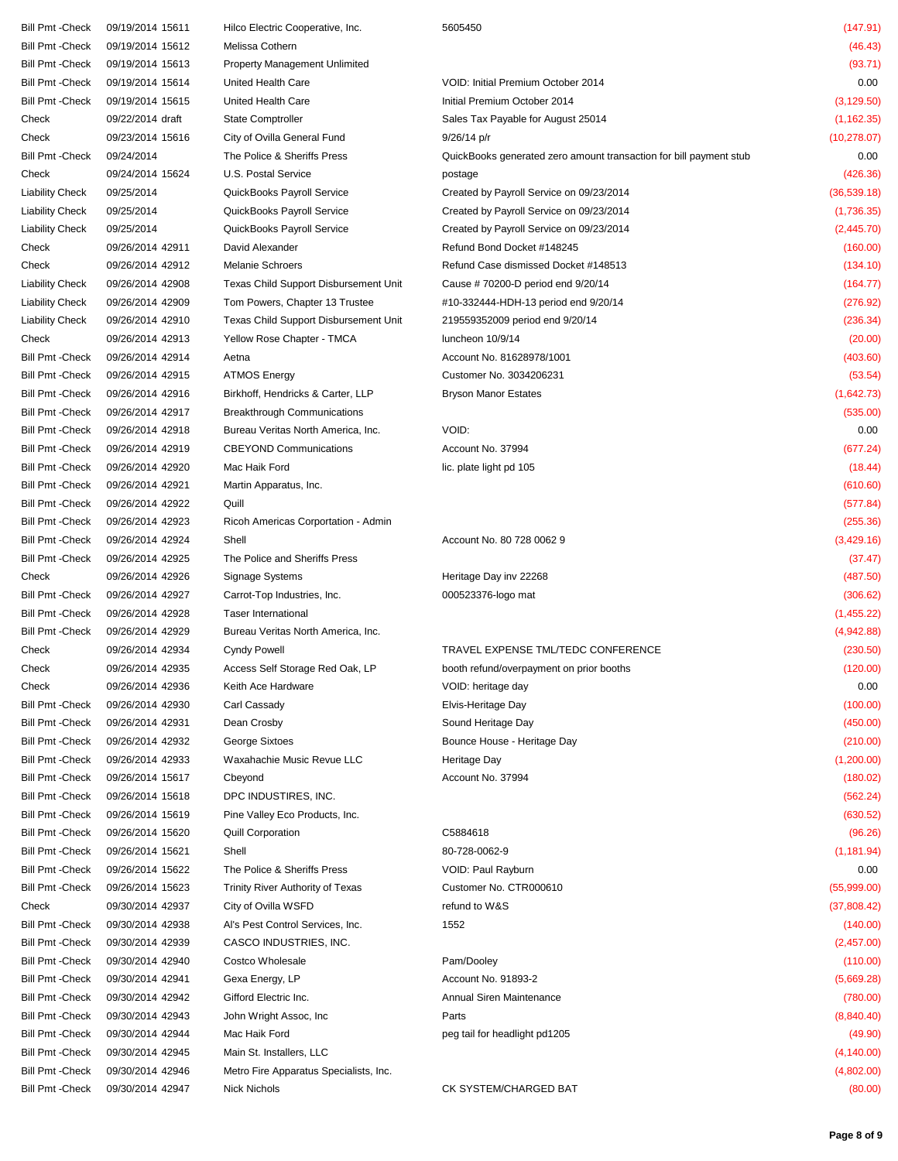Bill Pmt -Check 09/19/2014 15611 Hilco Electric Cooperative, Inc. 5605450 (147.91)

## Bill Pmt -Check 09/19/2014 15612 Melissa Cothern (46.43) Bill Pmt -Check 09/19/2014 15613 Property Management Unlimited (93.71) Bill Pmt -Check 09/19/2014 15614 United Health Care VOID: Initial Premium October 2014 0.00 Bill Pmt -Check 09/19/2014 15615 United Health Care Initial Premium October 2014 (3,129.50) Check 09/22/2014 draft State Comptroller State State Sales Tax Payable for August 25014 (1,162.35) Check 09/23/2014 15616 City of Ovilla General Fund 9/26/14 p/r (10,278.07) (10,278.07) Bill Pmt -Check 09/24/2014 The Police & Sheriffs Press QuickBooks generated zero amount transaction for bill payment stub 0.00 Check 09/24/2014 15624 U.S. Postal Service postage (426.36) Liability Check 09/25/2014 QuickBooks Payroll Service Created by Payroll Service on 09/23/2014 (36,539.18) Liability Check 09/25/2014 QuickBooks Payroll Service Created by Payroll Service on 09/23/2014 (1,736.35) Liability Check 09/25/2014 QuickBooks Payroll Service Created by Payroll Service on 09/23/2014 (2,445.70) Check 09/26/2014 42911 David Alexander Refund Bond Docket #148245 (160.00) Check 09/26/2014 42912 Melanie Schroers Refund Case dismissed Docket #148513 (134.10) Liability Check 09/26/2014 42908 Texas Child Support Disbursement Unit Cause # 70200-D period end 9/20/14 (164.77) Liability Check 09/26/2014 42909 Tom Powers, Chapter 13 Trustee #10-332444-HDH-13 period end 9/20/14 (276.92) Liability Check 09/26/2014 42910 Texas Child Support Disbursement Unit 219559352009 period end 9/20/14 (236.34) Check 09/26/2014 42913 Yellow Rose Chapter - TMCA luncheon 10/9/14 (20.00) Bill Pmt -Check 09/26/2014 42914 Aetna Account No. 81628978/1001 403.60) Account No. 81628978/1001 Bill Pmt -Check 09/26/2014 42915 ATMOS Energy Customer No. 3034206231 Customer No. 3034206231 Bill Pmt -Check 09/26/2014 42916 Birkhoff, Hendricks & Carter, LLP Bryson Manor Estates (1,642.73) Bill Pmt -Check 09/26/2014 42917 Breakthrough Communications (535.00) Bill Pmt -Check 09/26/2014 42918 Bureau Veritas North America, Inc. VOID: 0.00 Bill Pmt -Check 09/26/2014 42919 CBEYOND Communications Account No. 37994 (677.24) Bill Pmt -Check 09/26/2014 42920 Mac Haik Ford lic. plate light pd 105 (18.44) Bill Pmt -Check 09/26/2014 42921 Martin Apparatus, Inc. (610.60) (610.60) Bill Pmt -Check 09/26/2014 42922 Quill (577.84) Bill Pmt -Check 09/26/2014 42923 Ricoh Americas Corportation - Admin (255.36) Ricoh Americas Corportation - Admin (255.36) Bill Pmt -Check 09/26/2014 42924 Shell Shell Account No. 80 728 0062 9 (3,429.16) Bill Pmt -Check 09/26/2014 42925 The Police and Sheriffs Press (37.47) Check 09/26/2014 42926 Signage Systems Heritage Day inv 22268 (487.50) Bill Pmt -Check 09/26/2014 42927 Carrot-Top Industries, Inc. 000523376-logo mat (306.62) Bill Pmt -Check 09/26/2014 42928 Taser International (1,455.22) Bill Pmt -Check 09/26/2014 42929 Bureau Veritas North America, Inc. (4,942.88) Check 09/26/2014 42934 Cyndy Powell TRAVEL EXPENSE TML/TEDC CONFERENCE (230.50) Check 09/26/2014 42935 Access Self Storage Red Oak, LP booth refund/overpayment on prior booths (120.00) Check 09/26/2014 42936 Keith Ace Hardware VOID: heritage day 0.00 Bill Pmt -Check 09/26/2014 42930 Carl Cassady Elvis-Heritage Day (100.00) Bill Pmt -Check 09/26/2014 42931 Dean Crosby Sound Heritage Day (450.00) Bill Pmt -Check 09/26/2014 42932 George Sixtoes Bounce House - Heritage Day (210.00) Bill Pmt -Check 09/26/2014 42933 Waxahachie Music Revue LLC Heritage Day (1,200.00) Bill Pmt -Check 09/26/2014 15617 Cbeyond Account No. 37994 (180.02) Bill Pmt -Check 09/26/2014 15618 DPC INDUSTIRES, INC. (562.24) Bill Pmt -Check 09/26/2014 15619 Pine Valley Eco Products, Inc. (630.52) Bill Pmt -Check 09/26/2014 15620 Quill Corporation C5884618 (96.26) Bill Pmt -Check 09/26/2014 15621 Shell 80-728-0062-9 (1,181.94) Bill Pmt -Check 09/26/2014 15622 The Police & Sheriffs Press VOID: Paul Rayburn 0.00 Bill Pmt -Check 09/26/2014 15623 Trinity River Authority of Texas Customer No. CTR000610 (55,999.00) Check 09/30/2014 42937 City of Ovilla WSFD refund to W&S (37,808.42) Bill Pmt -Check 09/30/2014 42938 Al's Pest Control Services, Inc. 1552 (140.00) Bill Pmt -Check 09/30/2014 42939 CASCO INDUSTRIES, INC. (2,457.00) Bill Pmt -Check 09/30/2014 42940 Costco Wholesale Pam/Dooley (110.00) Bill Pmt -Check 09/30/2014 42941 Gexa Energy, LP Account No. 91893-2 (5,669.28) Bill Pmt -Check 09/30/2014 42942 Gifford Electric Inc. Annual Siren Maintenance (780.00) Bill Pmt -Check 09/30/2014 42943 John Wright Assoc, Inc Parts (8,840.40) Bill Pmt -Check 09/30/2014 42944 Mac Haik Ford peg tail for headlight pd1205 (49.90) Bill Pmt -Check 09/30/2014 42945 Main St. Installers, LLC (4,140.00) Bill Pmt -Check 09/30/2014 42946 Metro Fire Apparatus Specialists, Inc. (4,802.00) Bill Pmt -Check 09/30/2014 42947 Nick Nichols CK SYSTEM/CHARGED BAT (80.00)